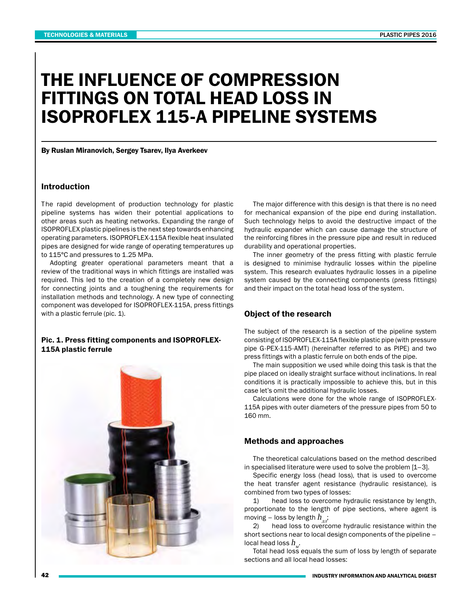# THE INFLUENCE OF COMPRESSION FITTINGS ON TOTAL HEAD LOSS IN ISOPROFLEX 115-A PIPELINE SYSTEMS

By Ruslan Miranovich, Sergey Tsarev, Ilya Averkeev

#### Introduction

The rapid development of production technology for plastic pipeline systems has widen their potential applications to other areas such as heating networks. Expanding the range of ISOPROFLEX plastic pipelines is the next step towards enhancing operating parameters. ISOPROFLEX-115A flexible heat insulated pipes are designed for wide range of operating temperatures up to 115°C and pressures to 1.25 MPa.

Adopting greater operational parameters meant that a review of the traditional ways in which fittings are installed was required. This led to the creation of a completely new design for connecting joints and a toughening the requirements for installation methods and technology. A new type of connecting component was developed for ISOPROFLEX-115A, press fittings with a plastic ferrule (pic. 1).

## Pic. 1. Press fitting components and ISOPROFLEX-115A plastic ferrule



The major difference with this design is that there is no need for mechanical expansion of the pipe end during installation. Such technology helps to avoid the destructive impact of the hydraulic expander which can cause damage the structure of the reinforcing fibres in the pressure pipe and result in reduced durability and operational properties.

The inner geometry of the press fitting with plastic ferrule is designed to minimise hydraulic losses within the pipeline system. This research evaluates hydraulic losses in a pipeline system caused by the connecting components (press fittings) and their impact on the total head loss of the system.

### Object of the research

The subject of the research is a section of the pipeline system consisting of ISOPROFLEX-115A flexible plastic pipe (with pressure pipe G-PEX-115-AMT) (hereinafter referred to as PIPE) and two press fittings with a plastic ferrule on both ends of the pipe.

The main supposition we used while doing this task is that the pipe placed on ideally straight surface without inclinations. In real conditions it is practically impossible to achieve this, but in this case let's omit the additional hydraulic losses.

Calculations were done for the whole range of ISOPROFLEX-115A pipes with outer diameters of the pressure pipes from 50 to 160 mm.

## Methods and approaches

The theoretical calculations based on the method described in specialised literature were used to solve the problem [1–3].

Specific energy loss (head loss), that is used to overcome the heat transfer agent resistance (hydraulic resistance), is combined from two types of losses:

1) head loss to overcome hydraulic resistance by length, proportionate to the length of pipe sections, where agent is moving – loss by length  $h_{\mu\nu}$ ;<br>2) head loss to overco

head loss to overcome hydraulic resistance within the short sections near to local design components of the pipeline – local head loss  $h_{\scriptscriptstyle M}^{}$ .

Total head loss equals the sum of loss by length of separate sections and all local head losses: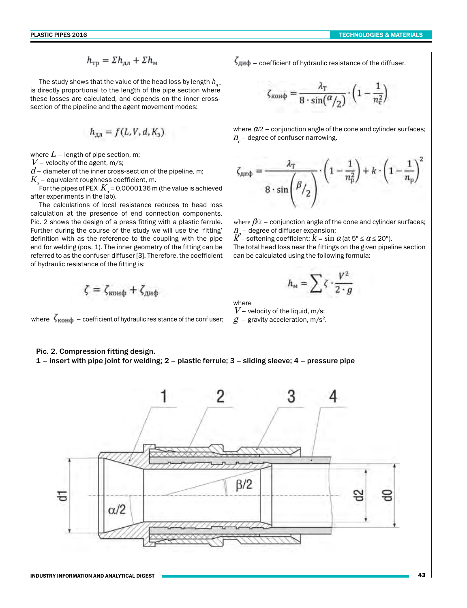$$
h_{\text{rp}} = \Sigma h_{\text{an}} + \Sigma h_{\text{m}}
$$

The study shows that the value of the head loss by length  $h_{\mu\nu}$ is directly proportional to the length of the pipe section where these losses are calculated, and depends on the inner crosssection of the pipeline and the agent movement modes:

$$
h_{\alpha\alpha} = f(L, V, d, K_{\alpha})
$$

where  $L$  – length of pipe section, m;

 $V$  – velocity of the agent, m/s;

 $d$  – diameter of the inner cross-section of the pipeline, m;

 $K_{\!\scriptscriptstyle\beta}$  – equivalent roughness coefficient, m.

For the pipes of PEX  $\,K_{_{\!g}}$  = 0,0000136 m (the value is achieved after experiments in the lab).

The calculations of local resistance reduces to head loss calculation at the presence of end connection components. Pic. 2 shows the design of a press fitting with a plastic ferrule. Further during the course of the study we will use the 'fitting' definition with as the reference to the coupling with the pipe end for welding (pos. 1). The inner geometry of the fitting can be referred to as the confuser-diffuser [3]. Therefore, the coefficient of hydraulic resistance of the fitting is:

$$
\zeta = \zeta_{\text{komb}} + \zeta_{\text{amb}}
$$

where  $\zeta_{\text{KOH}\phi}$  – coefficient of hydraulic resistance of the confuser;  $g$  – gravity acceleration, m/s<sup>2</sup>.

 $\zeta_{\mu\nu}$  – coefficient of hydraulic resistance of the diffuser.

$$
\zeta_{\text{KOH}\varphi} = \frac{\lambda_T}{8 \cdot \sin(\frac{\alpha}{2})} \cdot \left(1 - \frac{1}{n_c^2}\right)
$$

where  $\alpha/2$  – conjunction angle of the cone and cylinder surfaces;  $\bm{\mathit{n}}_c$ – degree of confuser narrowing.

$$
\zeta_{\text{and}} = \frac{\lambda_{\text{T}}}{8 \cdot \sin\left(\beta / 2\right)} \cdot \left(1 - \frac{1}{n_{\text{p}}^2}\right) + k \cdot \left(1 - \frac{1}{n_{\text{p}}}\right)^2
$$

where  $\beta/2$  – conjunction angle of the cone and cylinder surfaces;  $n_{p}$  – degree of diffuser expansion;

 $k^p$  – softening coefficient;  $k = \sin \alpha$  (at 5°  $\le \alpha \le$  20°).

The total head loss near the fittings on the given pipeline section can be calculated using the following formula:

$$
h_{\rm M}=\sum \zeta\cdot\frac{V^2}{2\cdot g}
$$

where

 $V$  – velocity of the liquid, m/s;

# Pic. 2. Compression fitting design.

1 – insert with pipe joint for welding; 2 – plastic ferrule; 3 – sliding sleeve; 4 – pressure pipe